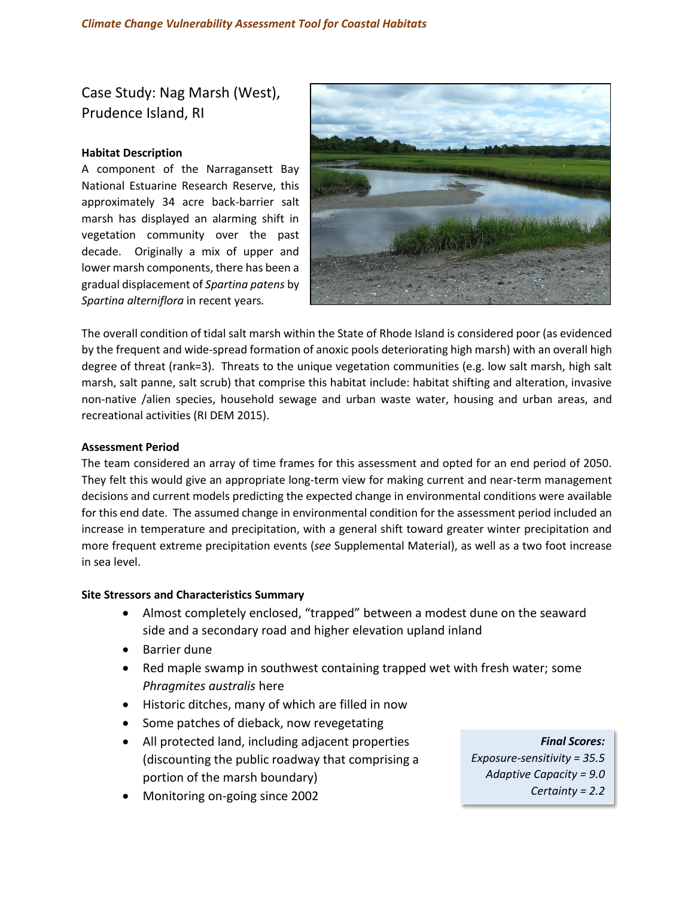Case Study: Nag Marsh (West), Prudence Island, RI

## **Habitat Description**

A component of the Narragansett Bay National Estuarine Research Reserve, this approximately 34 acre back-barrier salt marsh has displayed an alarming shift in vegetation community over the past decade. Originally a mix of upper and lower marsh components, there has been a gradual displacement of *Spartina patens* by *Spartina alterniflora* in recent years*.*



The overall condition of tidal salt marsh within the State of Rhode Island is considered poor (as evidenced by the frequent and wide-spread formation of anoxic pools deteriorating high marsh) with an overall high degree of threat (rank=3). Threats to the unique vegetation communities (e.g. low salt marsh, high salt marsh, salt panne, salt scrub) that comprise this habitat include: habitat shifting and alteration, invasive non-native /alien species, household sewage and urban waste water, housing and urban areas, and recreational activities (RI DEM 2015).

## **Assessment Period**

The team considered an array of time frames for this assessment and opted for an end period of 2050. They felt this would give an appropriate long-term view for making current and near-term management decisions and current models predicting the expected change in environmental conditions were available for this end date. The assumed change in environmental condition for the assessment period included an increase in temperature and precipitation, with a general shift toward greater winter precipitation and more frequent extreme precipitation events (*see* Supplemental Material), as well as a two foot increase in sea level.

# **Site Stressors and Characteristics Summary**

- Almost completely enclosed, "trapped" between a modest dune on the seaward side and a secondary road and higher elevation upland inland
- Barrier dune
- Red maple swamp in southwest containing trapped wet with fresh water; some *Phragmites australis* here
- Historic ditches, many of which are filled in now
- Some patches of dieback, now revegetating
- All protected land, including adjacent properties (discounting the public roadway that comprising a portion of the marsh boundary)
- Monitoring on-going since 2002

*Final Scores: Exposure-sensitivity = 35.5 Adaptive Capacity = 9.0 Certainty = 2.2*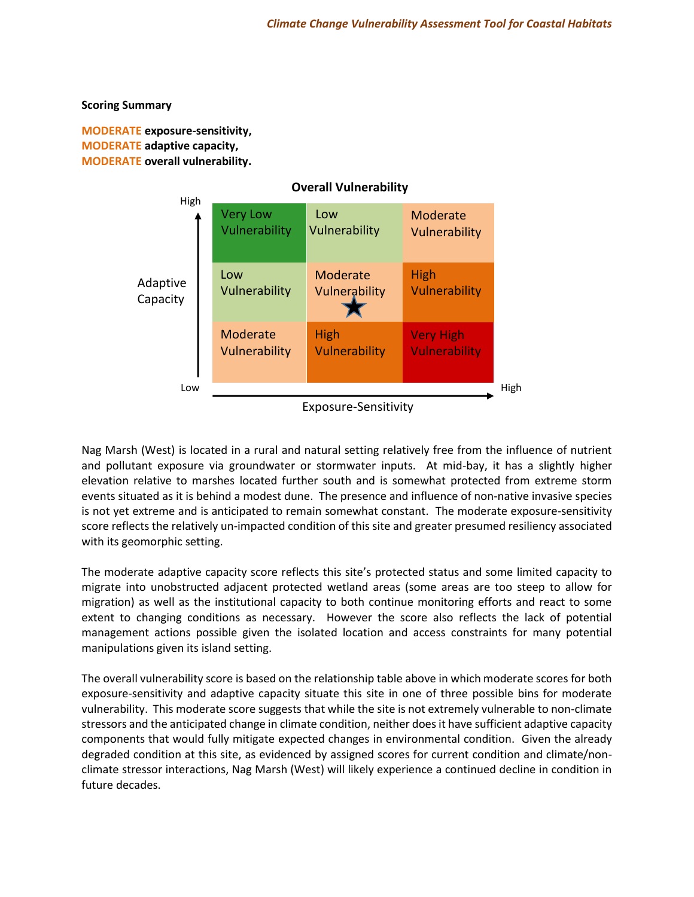## **Scoring Summary**

**MODERATE exposure‐sensitivity, MODERATE adaptive capacity, MODERATE overall vulnerability.**



Nag Marsh (West) is located in a rural and natural setting relatively free from the influence of nutrient and pollutant exposure via groundwater or stormwater inputs. At mid-bay, it has a slightly higher elevation relative to marshes located further south and is somewhat protected from extreme storm events situated as it is behind a modest dune. The presence and influence of non-native invasive species is not yet extreme and is anticipated to remain somewhat constant. The moderate exposure-sensitivity score reflects the relatively un-impacted condition of this site and greater presumed resiliency associated with its geomorphic setting.  $\mathcal{L}$ 

The moderate adaptive capacity score reflects this site's protected status and some limited capacity to migrate into unobstructed adjacent protected wetland areas (some areas are too steep to allow for migration) as well as the institutional capacity to both continue monitoring efforts and react to some extent to changing conditions as necessary. However the score also reflects the lack of potential management actions possible given the isolated location and access constraints for many potential manipulations given its island setting.

The overall vulnerability score is based on the relationship table above in which moderate scores for both exposure-sensitivity and adaptive capacity situate this site in one of three possible bins for moderate vulnerability. This moderate score suggests that while the site is not extremely vulnerable to non-climate stressors and the anticipated change in climate condition, neither does it have sufficient adaptive capacity components that would fully mitigate expected changes in environmental condition. Given the already degraded condition at this site, as evidenced by assigned scores for current condition and climate/nonclimate stressor interactions, Nag Marsh (West) will likely experience a continued decline in condition in future decades.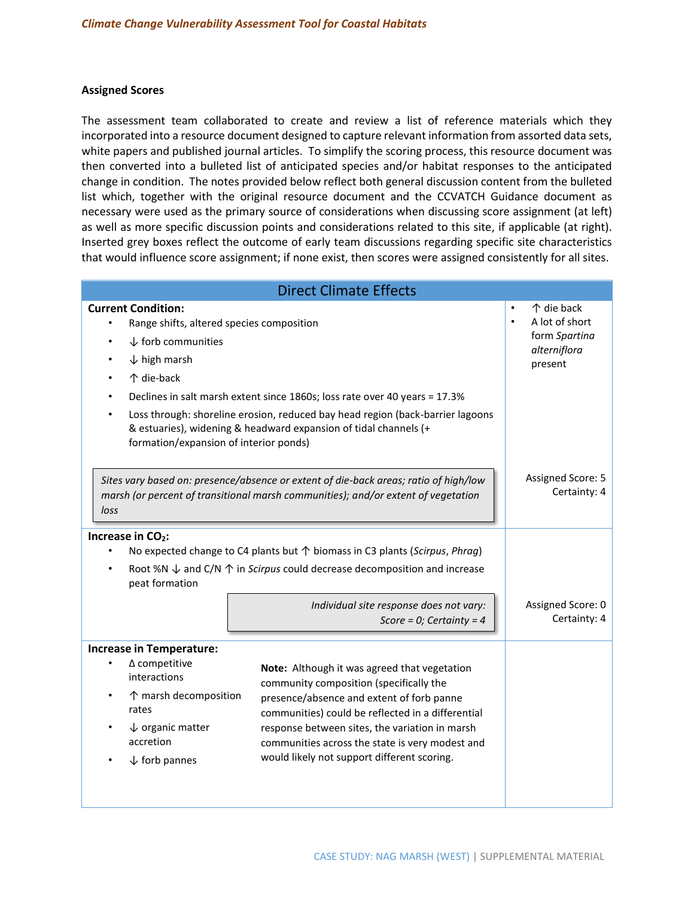### **Assigned Scores**

The assessment team collaborated to create and review a list of reference materials which they incorporated into a resource document designed to capture relevant information from assorted data sets, white papers and published journal articles. To simplify the scoring process, this resource document was then converted into a bulleted list of anticipated species and/or habitat responses to the anticipated change in condition. The notes provided below reflect both general discussion content from the bulleted list which, together with the original resource document and the CCVATCH Guidance document as necessary were used as the primary source of considerations when discussing score assignment (at left) as well as more specific discussion points and considerations related to this site, if applicable (at right). Inserted grey boxes reflect the outcome of early team discussions regarding specific site characteristics that would influence score assignment; if none exist, then scores were assigned consistently for all sites.

| <b>Direct Climate Effects</b>                                                                                                                                                                           |                                                                                                                                                                                                                                                                                                                                               |                                                                                       |  |
|---------------------------------------------------------------------------------------------------------------------------------------------------------------------------------------------------------|-----------------------------------------------------------------------------------------------------------------------------------------------------------------------------------------------------------------------------------------------------------------------------------------------------------------------------------------------|---------------------------------------------------------------------------------------|--|
| <b>Current Condition:</b><br>Range shifts, altered species composition<br>$\bullet$<br>$\downarrow$ forb communities<br>$\downarrow$ high marsh<br>个 die-back<br>formation/expansion of interior ponds) | Declines in salt marsh extent since 1860s; loss rate over 40 years = 17.3%<br>Loss through: shoreline erosion, reduced bay head region (back-barrier lagoons<br>& estuaries), widening & headward expansion of tidal channels (+                                                                                                              | ↑ die back<br>A lot of short<br>$\bullet$<br>form Spartina<br>alterniflora<br>present |  |
| Sites vary based on: presence/absence or extent of die-back areas; ratio of high/low<br>marsh (or percent of transitional marsh communities); and/or extent of vegetation<br>loss                       | Assigned Score: 5<br>Certainty: 4                                                                                                                                                                                                                                                                                                             |                                                                                       |  |
| Increase in CO <sub>2</sub> :<br>peat formation                                                                                                                                                         | No expected change to C4 plants but ↑ biomass in C3 plants (Scirpus, Phrag)<br>Root %N $\downarrow$ and C/N $\uparrow$ in Scirpus could decrease decomposition and increase<br>Individual site response does not vary:<br>Score = 0; Certainty = $4$                                                                                          | Assigned Score: 0<br>Certainty: 4                                                     |  |
| <b>Increase in Temperature:</b><br>$\Delta$ competitive<br>interactions<br>↑ marsh decomposition<br>rates<br>$\downarrow$ organic matter<br>accretion<br>$\downarrow$ forb pannes                       | Note: Although it was agreed that vegetation<br>community composition (specifically the<br>presence/absence and extent of forb panne<br>communities) could be reflected in a differential<br>response between sites, the variation in marsh<br>communities across the state is very modest and<br>would likely not support different scoring. |                                                                                       |  |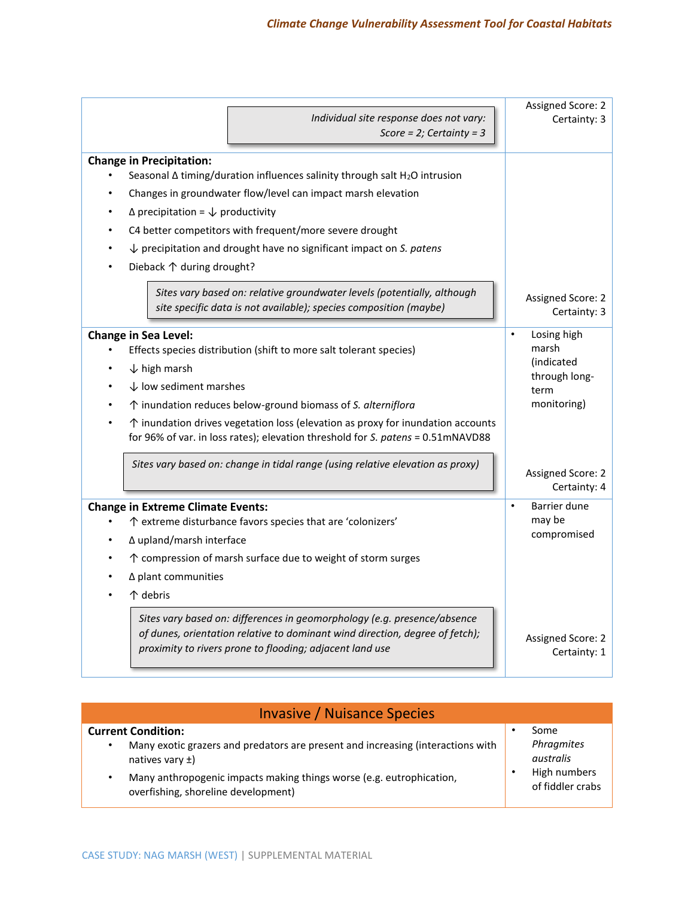| Individual site response does not vary:<br>Score = $2$ ; Certainty = $3$                                                                                                                                                                                                                                                                                                                                                                                                                                                                                                         | Assigned Score: 2<br>Certainty: 3                                                                                                                                    |
|----------------------------------------------------------------------------------------------------------------------------------------------------------------------------------------------------------------------------------------------------------------------------------------------------------------------------------------------------------------------------------------------------------------------------------------------------------------------------------------------------------------------------------------------------------------------------------|----------------------------------------------------------------------------------------------------------------------------------------------------------------------|
| <b>Change in Precipitation:</b><br>Seasonal $\Delta$ timing/duration influences salinity through salt H <sub>2</sub> O intrusion<br>Changes in groundwater flow/level can impact marsh elevation<br>$\Delta$ precipitation = $\downarrow$ productivity<br>C4 better competitors with frequent/more severe drought<br>$\downarrow$ precipitation and drought have no significant impact on S. patens<br>Dieback ↑ during drought?<br>Sites vary based on: relative groundwater levels (potentially, although<br>site specific data is not available); species composition (maybe) | Assigned Score: 2                                                                                                                                                    |
| <b>Change in Sea Level:</b><br>Effects species distribution (shift to more salt tolerant species)<br>$\downarrow$ high marsh<br>$\downarrow$ low sediment marshes<br>↑ inundation reduces below-ground biomass of S. alterniflora<br>$\uparrow$ inundation drives vegetation loss (elevation as proxy for inundation accounts<br>for 96% of var. in loss rates); elevation threshold for S. patens = 0.51mNAVD88<br>Sites vary based on: change in tidal range (using relative elevation as proxy)<br><b>Change in Extreme Climate Events:</b>                                   | Certainty: 3<br>Losing high<br>marsh<br><i>(indicated)</i><br>through long-<br>term<br>monitoring)<br>Assigned Score: 2<br>Certainty: 4<br>Barrier dune<br>$\bullet$ |
| ↑ extreme disturbance favors species that are 'colonizers'<br>∆ upland/marsh interface<br>↑ compression of marsh surface due to weight of storm surges<br>$\Delta$ plant communities<br>个 debris<br>Sites vary based on: differences in geomorphology (e.g. presence/absence<br>of dunes, orientation relative to dominant wind direction, degree of fetch);<br>proximity to rivers prone to flooding; adjacent land use                                                                                                                                                         | may be<br>compromised<br>Assigned Score: 2<br>Certainty: 1                                                                                                           |

| <b>Invasive / Nuisance Species</b>                                                                                                                                                                                                                  |  |                                                                     |  |
|-----------------------------------------------------------------------------------------------------------------------------------------------------------------------------------------------------------------------------------------------------|--|---------------------------------------------------------------------|--|
| <b>Current Condition:</b><br>Many exotic grazers and predators are present and increasing (interactions with<br>natives vary $\pm$ )<br>Many anthropogenic impacts making things worse (e.g. eutrophication,<br>overfishing, shoreline development) |  | Some<br>Phragmites<br>australis<br>High numbers<br>of fiddler crabs |  |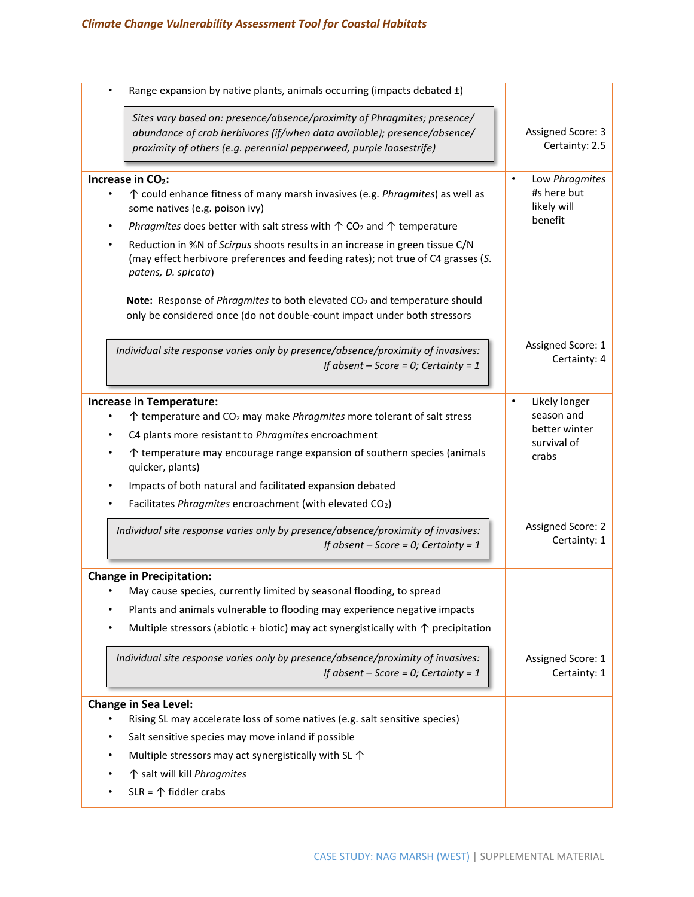| Range expansion by native plants, animals occurring (impacts debated ±)                                                                                                                                                     |                                            |
|-----------------------------------------------------------------------------------------------------------------------------------------------------------------------------------------------------------------------------|--------------------------------------------|
| Sites vary based on: presence/absence/proximity of Phragmites; presence/<br>abundance of crab herbivores (if/when data available); presence/absence/<br>proximity of others (e.g. perennial pepperweed, purple loosestrife) | <b>Assigned Score: 3</b><br>Certainty: 2.5 |
| Increase in CO <sub>2</sub> :                                                                                                                                                                                               | Low Phragmites<br>$\bullet$                |
| ↑ could enhance fitness of many marsh invasives (e.g. Phragmites) as well as<br>some natives (e.g. poison ivy)                                                                                                              | #s here but<br>likely will                 |
| Phragmites does better with salt stress with $\uparrow$ CO <sub>2</sub> and $\uparrow$ temperature<br>$\bullet$                                                                                                             | benefit                                    |
| Reduction in %N of Scirpus shoots results in an increase in green tissue C/N<br>(may effect herbivore preferences and feeding rates); not true of C4 grasses (S.<br>patens, D. spicata)                                     |                                            |
| Note: Response of Phragmites to both elevated CO <sub>2</sub> and temperature should<br>only be considered once (do not double-count impact under both stressors                                                            |                                            |
| Individual site response varies only by presence/absence/proximity of invasives:<br>If absent $-$ Score = 0; Certainty = 1                                                                                                  | Assigned Score: 1<br>Certainty: 4          |
| <b>Increase in Temperature:</b>                                                                                                                                                                                             | Likely longer                              |
| ↑ temperature and CO <sub>2</sub> may make <i>Phragmites</i> more tolerant of salt stress                                                                                                                                   | season and                                 |
| C4 plants more resistant to Phragmites encroachment                                                                                                                                                                         | better winter<br>survival of               |
| $\uparrow$ temperature may encourage range expansion of southern species (animals<br>quicker, plants)                                                                                                                       | crabs                                      |
| Impacts of both natural and facilitated expansion debated                                                                                                                                                                   |                                            |
| Facilitates Phragmites encroachment (with elevated CO2)                                                                                                                                                                     |                                            |
| Individual site response varies only by presence/absence/proximity of invasives:<br>If absent $-$ Score = 0; Certainty = 1                                                                                                  | Assigned Score: 2<br>Certainty: 1          |
| <b>Change in Precipitation:</b>                                                                                                                                                                                             |                                            |
| May cause species, currently limited by seasonal flooding, to spread                                                                                                                                                        |                                            |
| Plants and animals vulnerable to flooding may experience negative impacts                                                                                                                                                   |                                            |
| Multiple stressors (abiotic + biotic) may act synergistically with $\uparrow$ precipitation                                                                                                                                 |                                            |
| Individual site response varies only by presence/absence/proximity of invasives:<br>If absent $-$ Score = 0; Certainty = 1                                                                                                  | Assigned Score: 1<br>Certainty: 1          |
| Change in Sea Level:                                                                                                                                                                                                        |                                            |
| Rising SL may accelerate loss of some natives (e.g. salt sensitive species)                                                                                                                                                 |                                            |
| Salt sensitive species may move inland if possible                                                                                                                                                                          |                                            |
| Multiple stressors may act synergistically with SL 1                                                                                                                                                                        |                                            |
| ↑ salt will kill Phragmites                                                                                                                                                                                                 |                                            |
| $SLR = \mathcal{D}$ fiddler crabs                                                                                                                                                                                           |                                            |
|                                                                                                                                                                                                                             |                                            |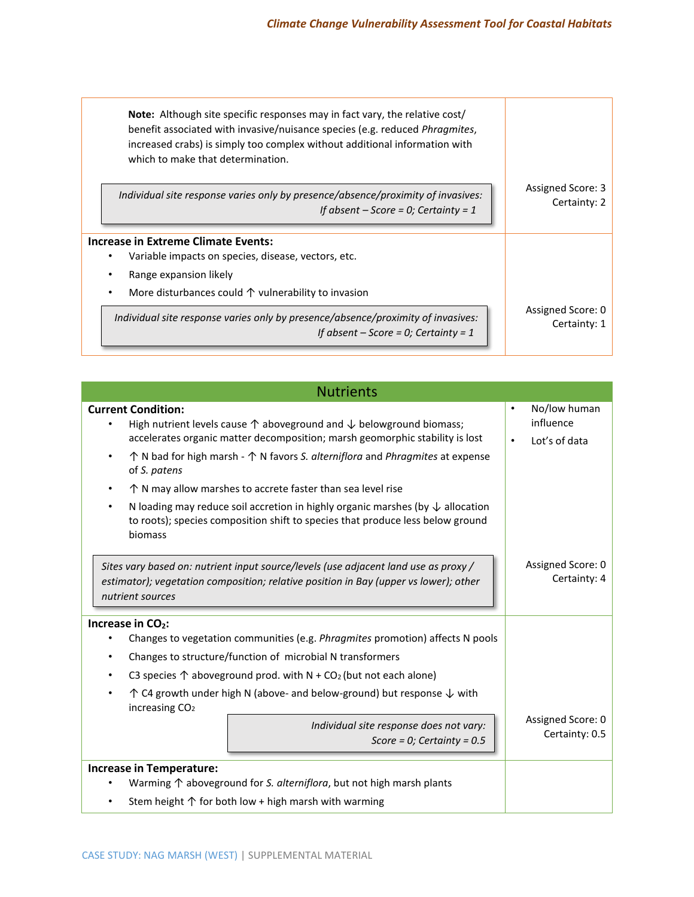| <b>Note:</b> Although site specific responses may in fact vary, the relative cost/<br>benefit associated with invasive/nuisance species (e.g. reduced Phragmites,<br>increased crabs) is simply too complex without additional information with<br>which to make that determination. |                                   |
|--------------------------------------------------------------------------------------------------------------------------------------------------------------------------------------------------------------------------------------------------------------------------------------|-----------------------------------|
| Individual site response varies only by presence/absence/proximity of invasives:<br>If absent $-$ Score = 0; Certainty = 1                                                                                                                                                           | Assigned Score: 3<br>Certainty: 2 |
| <b>Increase in Extreme Climate Events:</b>                                                                                                                                                                                                                                           |                                   |
| Variable impacts on species, disease, vectors, etc.                                                                                                                                                                                                                                  |                                   |
| Range expansion likely                                                                                                                                                                                                                                                               |                                   |
| More disturbances could $\uparrow$ vulnerability to invasion                                                                                                                                                                                                                         |                                   |
| Individual site response varies only by presence/absence/proximity of invasives:<br>If absent $-$ Score = 0; Certainty = 1                                                                                                                                                           | Assigned Score: 0<br>Certainty: 1 |

| <b>Nutrients</b>                                                                                                                                                                                                                                                                                                                                                                                                                                                                         |                                                                      |  |  |
|------------------------------------------------------------------------------------------------------------------------------------------------------------------------------------------------------------------------------------------------------------------------------------------------------------------------------------------------------------------------------------------------------------------------------------------------------------------------------------------|----------------------------------------------------------------------|--|--|
| <b>Current Condition:</b><br>High nutrient levels cause $\uparrow$ aboveground and $\downarrow$ belowground biomass;<br>accelerates organic matter decomposition; marsh geomorphic stability is lost<br>$\uparrow$ N bad for high marsh - $\uparrow$ N favors S. alterniflora and Phragmites at expense<br>of S. patens                                                                                                                                                                  | No/low human<br>$\bullet$<br>influence<br>Lot's of data<br>$\bullet$ |  |  |
| $\uparrow$ N may allow marshes to accrete faster than sea level rise<br>$\bullet$<br>N loading may reduce soil accretion in highly organic marshes (by $\downarrow$ allocation<br>$\bullet$<br>to roots); species composition shift to species that produce less below ground<br>biomass                                                                                                                                                                                                 |                                                                      |  |  |
| Sites vary based on: nutrient input source/levels (use adjacent land use as proxy /<br>estimator); vegetation composition; relative position in Bay (upper vs lower); other<br>nutrient sources                                                                                                                                                                                                                                                                                          | Assigned Score: 0<br>Certainty: 4                                    |  |  |
| Increase in CO <sub>2</sub> :<br>Changes to vegetation communities (e.g. Phragmites promotion) affects N pools<br>Changes to structure/function of microbial N transformers<br>$\bullet$<br>C3 species $\uparrow$ aboveground prod. with N + CO <sub>2</sub> (but not each alone)<br>$\uparrow$ C4 growth under high N (above- and below-ground) but response $\downarrow$ with<br>increasing CO <sub>2</sub><br>Individual site response does not vary:<br>Score = 0; Certainty = $0.5$ | Assigned Score: 0<br>Certainty: 0.5                                  |  |  |
| <b>Increase in Temperature:</b><br>Warming $\uparrow$ aboveground for S. alterniflora, but not high marsh plants<br>$\bullet$<br>Stem height $\uparrow$ for both low + high marsh with warming<br>$\bullet$                                                                                                                                                                                                                                                                              |                                                                      |  |  |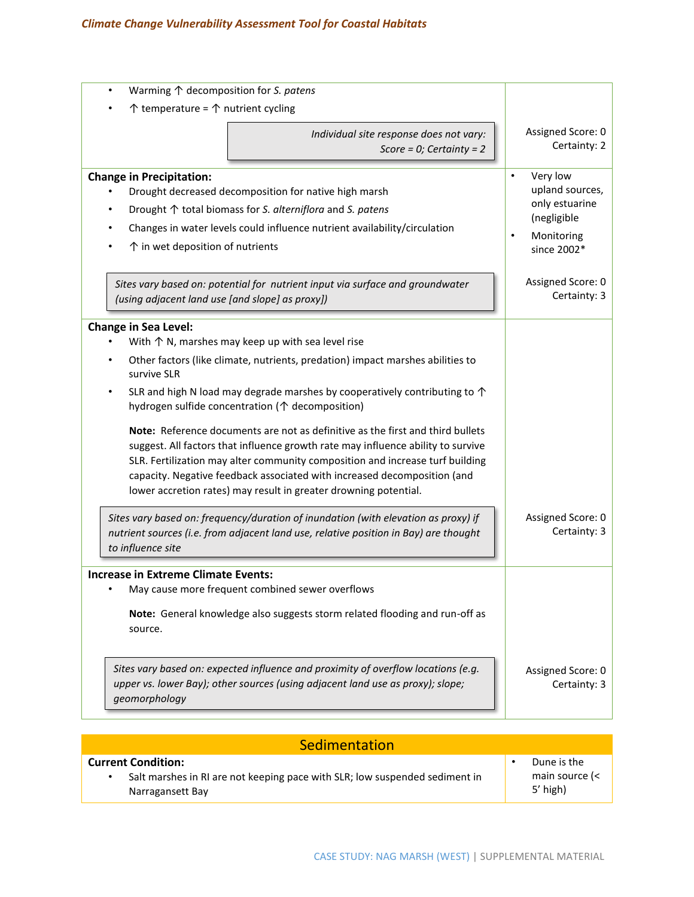| Warming $\uparrow$ decomposition for S. patens<br>$\bullet$                                                                                                                                                                                                                                                                                                                                                                                                                                                                                                                                                                                                                                                                                                                                                                                                                                                                                               |                                                                                                                     |
|-----------------------------------------------------------------------------------------------------------------------------------------------------------------------------------------------------------------------------------------------------------------------------------------------------------------------------------------------------------------------------------------------------------------------------------------------------------------------------------------------------------------------------------------------------------------------------------------------------------------------------------------------------------------------------------------------------------------------------------------------------------------------------------------------------------------------------------------------------------------------------------------------------------------------------------------------------------|---------------------------------------------------------------------------------------------------------------------|
| $\uparrow$ temperature = $\uparrow$ nutrient cycling                                                                                                                                                                                                                                                                                                                                                                                                                                                                                                                                                                                                                                                                                                                                                                                                                                                                                                      |                                                                                                                     |
| Individual site response does not vary:<br>Score = $0$ ; Certainty = 2                                                                                                                                                                                                                                                                                                                                                                                                                                                                                                                                                                                                                                                                                                                                                                                                                                                                                    | Assigned Score: 0<br>Certainty: 2                                                                                   |
| <b>Change in Precipitation:</b><br>Drought decreased decomposition for native high marsh<br>Drought ↑ total biomass for S. alterniflora and S. patens<br>Changes in water levels could influence nutrient availability/circulation<br>$\uparrow$ in wet deposition of nutrients                                                                                                                                                                                                                                                                                                                                                                                                                                                                                                                                                                                                                                                                           | Very low<br>$\bullet$<br>upland sources,<br>only estuarine<br>(negligible<br>Monitoring<br>$\bullet$<br>since 2002* |
| Sites vary based on: potential for nutrient input via surface and groundwater<br>(using adjacent land use [and slope] as proxy])                                                                                                                                                                                                                                                                                                                                                                                                                                                                                                                                                                                                                                                                                                                                                                                                                          | Assigned Score: 0<br>Certainty: 3                                                                                   |
| <b>Change in Sea Level:</b><br>With $\uparrow$ N, marshes may keep up with sea level rise<br>Other factors (like climate, nutrients, predation) impact marshes abilities to<br>survive SLR<br>SLR and high N load may degrade marshes by cooperatively contributing to $\uparrow$<br>hydrogen sulfide concentration ( $\uparrow$ decomposition)<br>Note: Reference documents are not as definitive as the first and third bullets<br>suggest. All factors that influence growth rate may influence ability to survive<br>SLR. Fertilization may alter community composition and increase turf building<br>capacity. Negative feedback associated with increased decomposition (and<br>lower accretion rates) may result in greater drowning potential.<br>Sites vary based on: frequency/duration of inundation (with elevation as proxy) if<br>nutrient sources (i.e. from adjacent land use, relative position in Bay) are thought<br>to influence site | Assigned Score: 0<br>Certainty: 3                                                                                   |
| <b>Increase in Extreme Climate Events:</b><br>May cause more frequent combined sewer overflows<br>Note: General knowledge also suggests storm related flooding and run-off as<br>source.                                                                                                                                                                                                                                                                                                                                                                                                                                                                                                                                                                                                                                                                                                                                                                  |                                                                                                                     |
| Sites vary based on: expected influence and proximity of overflow locations (e.g.<br>upper vs. lower Bay); other sources (using adjacent land use as proxy); slope;<br>geomorphology                                                                                                                                                                                                                                                                                                                                                                                                                                                                                                                                                                                                                                                                                                                                                                      | Assigned Score: 0<br>Certainty: 3                                                                                   |

| Sedimentation                                                               |                |
|-----------------------------------------------------------------------------|----------------|
| <b>Current Condition:</b>                                                   | Dune is the    |
| Salt marshes in RI are not keeping pace with SLR; low suspended sediment in | main source (< |
| Narragansett Bay                                                            | $5'$ high)     |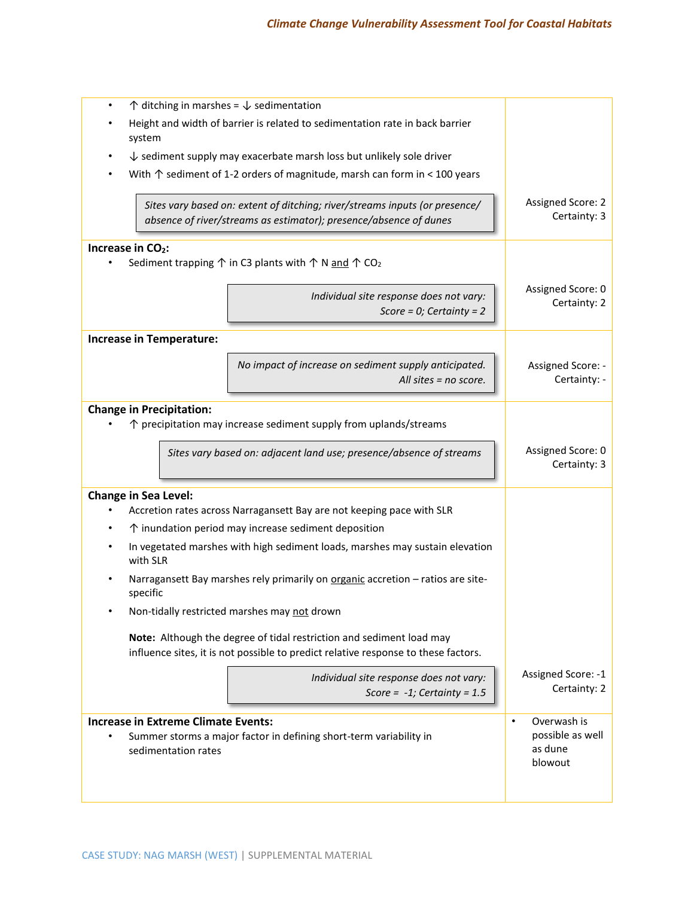| $\uparrow$ ditching in marshes = $\downarrow$ sedimentation<br>$\bullet$               |                                                                                                                                                            |                                          |
|----------------------------------------------------------------------------------------|------------------------------------------------------------------------------------------------------------------------------------------------------------|------------------------------------------|
| Height and width of barrier is related to sedimentation rate in back barrier<br>system |                                                                                                                                                            |                                          |
| $\downarrow$ sediment supply may exacerbate marsh loss but unlikely sole driver        |                                                                                                                                                            |                                          |
|                                                                                        | With $\uparrow$ sediment of 1-2 orders of magnitude, marsh can form in < 100 years                                                                         |                                          |
|                                                                                        | Sites vary based on: extent of ditching; river/streams inputs (or presence/<br>absence of river/streams as estimator); presence/absence of dunes           | <b>Assigned Score: 2</b><br>Certainty: 3 |
| Increase in CO <sub>2</sub> :                                                          | Sediment trapping $\uparrow$ in C3 plants with $\uparrow$ N and $\uparrow$ CO <sub>2</sub>                                                                 |                                          |
|                                                                                        | Individual site response does not vary:<br>Score = $0$ ; Certainty = 2                                                                                     | Assigned Score: 0<br>Certainty: 2        |
| <b>Increase in Temperature:</b>                                                        |                                                                                                                                                            |                                          |
|                                                                                        | No impact of increase on sediment supply anticipated.<br>All sites $=$ no score.                                                                           | Assigned Score: -<br>Certainty: -        |
| <b>Change in Precipitation:</b>                                                        |                                                                                                                                                            |                                          |
|                                                                                        | $\uparrow$ precipitation may increase sediment supply from uplands/streams                                                                                 |                                          |
|                                                                                        | Sites vary based on: adjacent land use; presence/absence of streams                                                                                        | Assigned Score: 0<br>Certainty: 3        |
| <b>Change in Sea Level:</b>                                                            | Accretion rates across Narragansett Bay are not keeping pace with SLR                                                                                      |                                          |
|                                                                                        | ↑ inundation period may increase sediment deposition                                                                                                       |                                          |
| with SLR                                                                               | In vegetated marshes with high sediment loads, marshes may sustain elevation                                                                               |                                          |
| specific                                                                               | Narragansett Bay marshes rely primarily on organic accretion - ratios are site-                                                                            |                                          |
|                                                                                        | Non-tidally restricted marshes may not drown                                                                                                               |                                          |
|                                                                                        | Note: Although the degree of tidal restriction and sediment load may<br>influence sites, it is not possible to predict relative response to these factors. |                                          |
|                                                                                        | Individual site response does not vary:<br>Score = $-1$ ; Certainty = 1.5                                                                                  | Assigned Score: -1<br>Certainty: 2       |
| <b>Increase in Extreme Climate Events:</b>                                             |                                                                                                                                                            | Overwash is<br>$\bullet$                 |
| sedimentation rates                                                                    | Summer storms a major factor in defining short-term variability in                                                                                         | possible as well<br>as dune<br>blowout   |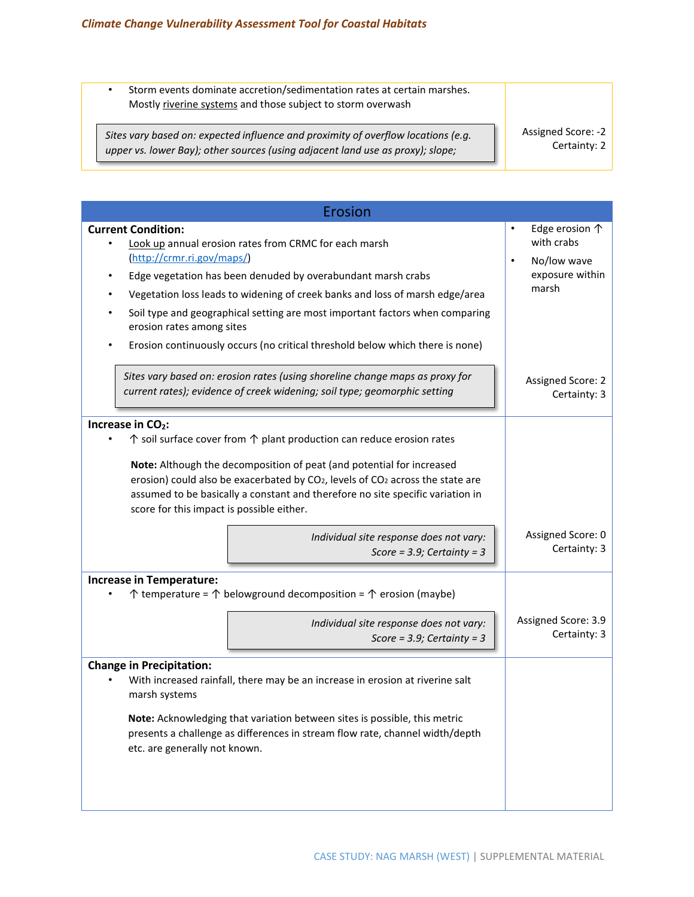*geomorphology*

• Storm events dominate accretion/sedimentation rates at certain marshes. Mostly riverine systems and those subject to storm overwash

*Sites vary based on: expected influence and proximity of overflow locations (e.g. upper vs. lower Bay); other sources (using adjacent land use as proxy); slope;* 

Assigned Score: -2 Certainty: 2

| Erosion                                                                                                                                                                                                                                                                                                                                                                                                                                                                                                                                        |                                                                                                            |
|------------------------------------------------------------------------------------------------------------------------------------------------------------------------------------------------------------------------------------------------------------------------------------------------------------------------------------------------------------------------------------------------------------------------------------------------------------------------------------------------------------------------------------------------|------------------------------------------------------------------------------------------------------------|
| <b>Current Condition:</b><br>Look up annual erosion rates from CRMC for each marsh<br>(http://crmr.ri.gov/maps/)<br>Edge vegetation has been denuded by overabundant marsh crabs<br>Vegetation loss leads to widening of creek banks and loss of marsh edge/area<br>Soil type and geographical setting are most important factors when comparing<br>erosion rates among sites<br>Erosion continuously occurs (no critical threshold below which there is none)                                                                                 | Edge erosion $\uparrow$<br>$\bullet$<br>with crabs<br>No/low wave<br>$\bullet$<br>exposure within<br>marsh |
| Sites vary based on: erosion rates (using shoreline change maps as proxy for<br>current rates); evidence of creek widening; soil type; geomorphic setting                                                                                                                                                                                                                                                                                                                                                                                      | Assigned Score: 2<br>Certainty: 3                                                                          |
| Increase in CO <sub>2</sub> :<br>$\uparrow$ soil surface cover from $\uparrow$ plant production can reduce erosion rates<br>Note: Although the decomposition of peat (and potential for increased<br>erosion) could also be exacerbated by CO <sub>2</sub> , levels of CO <sub>2</sub> across the state are<br>assumed to be basically a constant and therefore no site specific variation in<br>score for this impact is possible either.                                                                                                     |                                                                                                            |
| Individual site response does not vary:<br>Score = $3.9$ ; Certainty = $3$                                                                                                                                                                                                                                                                                                                                                                                                                                                                     | Assigned Score: 0<br>Certainty: 3                                                                          |
| <b>Increase in Temperature:</b><br>$\uparrow$ temperature = $\uparrow$ belowground decomposition = $\uparrow$ erosion (maybe)<br>Individual site response does not vary:<br>Score = $3.9$ ; Certainty = $3$<br><b>Change in Precipitation:</b><br>With increased rainfall, there may be an increase in erosion at riverine salt<br>marsh systems<br>Note: Acknowledging that variation between sites is possible, this metric<br>presents a challenge as differences in stream flow rate, channel width/depth<br>etc. are generally not known. | Assigned Score: 3.9<br>Certainty: 3                                                                        |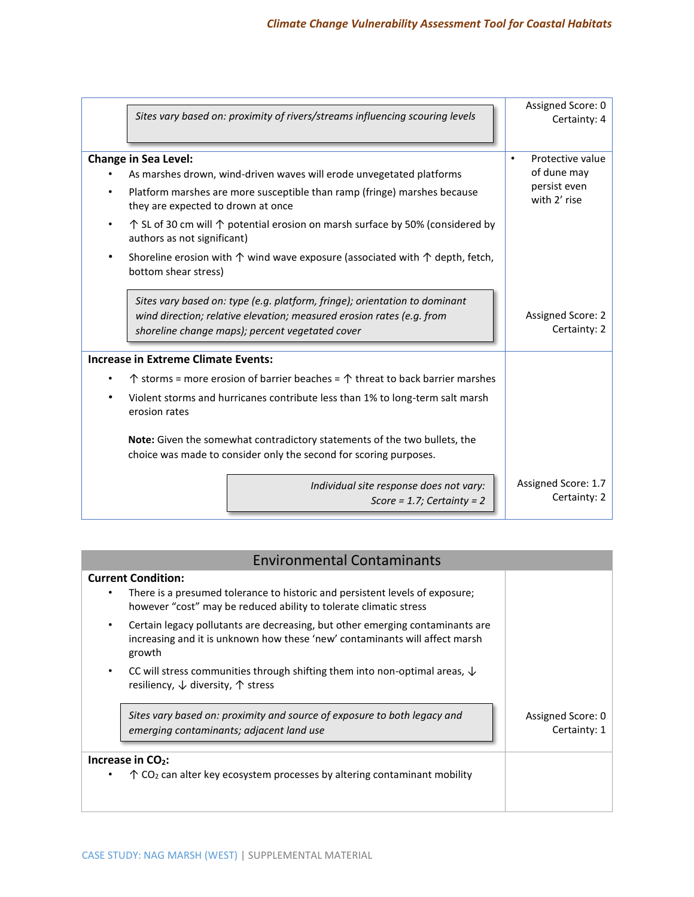|                             |                                                                                                                                                | Sites vary based on: proximity of rivers/streams influencing scouring levels                                                                                                                           | Assigned Score: 0<br>Certainty: 4   |
|-----------------------------|------------------------------------------------------------------------------------------------------------------------------------------------|--------------------------------------------------------------------------------------------------------------------------------------------------------------------------------------------------------|-------------------------------------|
| <b>Change in Sea Level:</b> |                                                                                                                                                |                                                                                                                                                                                                        | Protective value<br>$\bullet$       |
|                             |                                                                                                                                                | As marshes drown, wind-driven waves will erode unvegetated platforms                                                                                                                                   | of dune may                         |
| $\bullet$                   | they are expected to drown at once                                                                                                             | Platform marshes are more susceptible than ramp (fringe) marshes because                                                                                                                               | persist even<br>with 2' rise        |
|                             | authors as not significant)                                                                                                                    | $\uparrow$ SL of 30 cm will $\uparrow$ potential erosion on marsh surface by 50% (considered by                                                                                                        |                                     |
| $\bullet$                   | bottom shear stress)                                                                                                                           | Shoreline erosion with $\uparrow$ wind wave exposure (associated with $\uparrow$ depth, fetch,                                                                                                         |                                     |
|                             |                                                                                                                                                | Sites vary based on: type (e.g. platform, fringe); orientation to dominant<br>wind direction; relative elevation; measured erosion rates (e.g. from<br>shoreline change maps); percent vegetated cover | Assigned Score: 2<br>Certainty: 2   |
|                             | <b>Increase in Extreme Climate Events:</b>                                                                                                     |                                                                                                                                                                                                        |                                     |
|                             |                                                                                                                                                | $\uparrow$ storms = more erosion of barrier beaches = $\uparrow$ threat to back barrier marshes                                                                                                        |                                     |
|                             | erosion rates                                                                                                                                  | Violent storms and hurricanes contribute less than 1% to long-term salt marsh                                                                                                                          |                                     |
|                             | Note: Given the somewhat contradictory statements of the two bullets, the<br>choice was made to consider only the second for scoring purposes. |                                                                                                                                                                                                        |                                     |
|                             |                                                                                                                                                | Individual site response does not vary:<br>Score = $1.7$ ; Certainty = $2$                                                                                                                             | Assigned Score: 1.7<br>Certainty: 2 |
|                             |                                                                                                                                                |                                                                                                                                                                                                        |                                     |

| <b>Environmental Contaminants</b>                                                                                                                                              |                                   |
|--------------------------------------------------------------------------------------------------------------------------------------------------------------------------------|-----------------------------------|
| <b>Current Condition:</b><br>There is a presumed tolerance to historic and persistent levels of exposure;<br>however "cost" may be reduced ability to tolerate climatic stress |                                   |
| Certain legacy pollutants are decreasing, but other emerging contaminants are<br>increasing and it is unknown how these 'new' contaminants will affect marsh<br>growth         |                                   |
| CC will stress communities through shifting them into non-optimal areas, $\downarrow$<br>resiliency, $\downarrow$ diversity, $\uparrow$ stress                                 |                                   |
| Sites vary based on: proximity and source of exposure to both legacy and<br>emerging contaminants; adjacent land use                                                           | Assigned Score: 0<br>Certainty: 1 |
| Increase in CO <sub>2</sub> :<br>$\uparrow$ CO <sub>2</sub> can alter key ecosystem processes by altering contaminant mobility                                                 |                                   |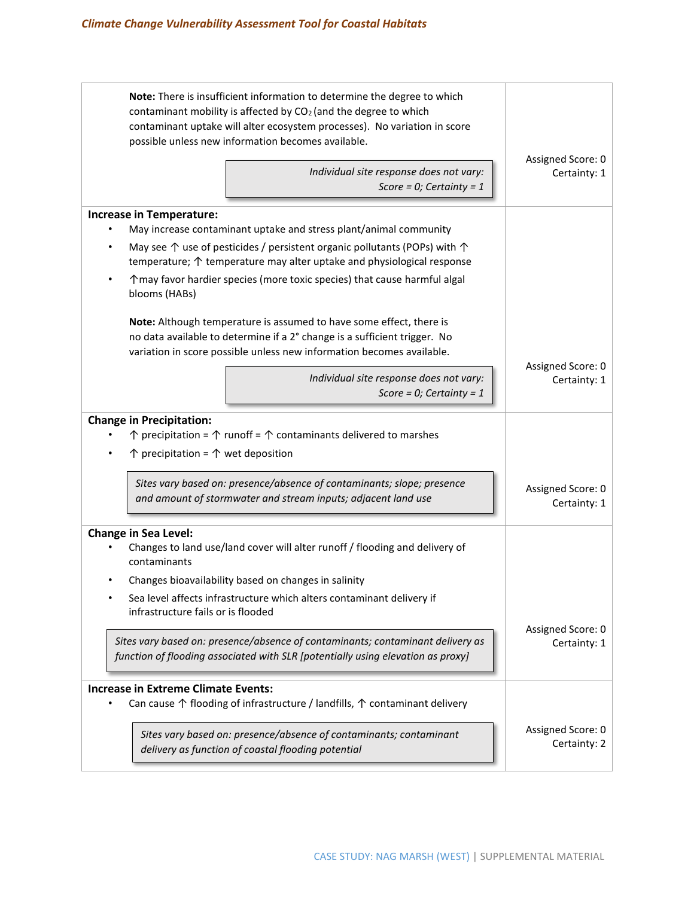| Note: There is insufficient information to determine the degree to which<br>contaminant mobility is affected by CO <sub>2</sub> (and the degree to which<br>contaminant uptake will alter ecosystem processes). No variation in score<br>possible unless new information becomes available. | Assigned Score: 0                                                                                                                                                              |                                   |  |  |  |  |
|---------------------------------------------------------------------------------------------------------------------------------------------------------------------------------------------------------------------------------------------------------------------------------------------|--------------------------------------------------------------------------------------------------------------------------------------------------------------------------------|-----------------------------------|--|--|--|--|
|                                                                                                                                                                                                                                                                                             | Individual site response does not vary:<br>Score = $0$ ; Certainty = 1                                                                                                         | Certainty: 1                      |  |  |  |  |
| <b>Increase in Temperature:</b>                                                                                                                                                                                                                                                             |                                                                                                                                                                                |                                   |  |  |  |  |
| $\bullet$                                                                                                                                                                                                                                                                                   | May increase contaminant uptake and stress plant/animal community                                                                                                              |                                   |  |  |  |  |
| $\bullet$                                                                                                                                                                                                                                                                                   | May see $\uparrow$ use of pesticides / persistent organic pollutants (POPs) with $\uparrow$<br>temperature; $\uparrow$ temperature may alter uptake and physiological response |                                   |  |  |  |  |
| blooms (HABs)                                                                                                                                                                                                                                                                               | ↑ may favor hardier species (more toxic species) that cause harmful algal                                                                                                      |                                   |  |  |  |  |
| Note: Although temperature is assumed to have some effect, there is<br>no data available to determine if a 2° change is a sufficient trigger. No<br>variation in score possible unless new information becomes available.                                                                   | Assigned Score: 0                                                                                                                                                              |                                   |  |  |  |  |
|                                                                                                                                                                                                                                                                                             | Individual site response does not vary:<br>Score = 0; Certainty = $1$                                                                                                          | Certainty: 1                      |  |  |  |  |
| <b>Change in Precipitation:</b>                                                                                                                                                                                                                                                             |                                                                                                                                                                                |                                   |  |  |  |  |
|                                                                                                                                                                                                                                                                                             | $\uparrow$ precipitation = $\uparrow$ runoff = $\uparrow$ contaminants delivered to marshes                                                                                    |                                   |  |  |  |  |
| $\bullet$                                                                                                                                                                                                                                                                                   | $\uparrow$ precipitation = $\uparrow$ wet deposition                                                                                                                           |                                   |  |  |  |  |
| Sites vary based on: presence/absence of contaminants; slope; presence<br>and amount of stormwater and stream inputs; adjacent land use                                                                                                                                                     | Assigned Score: 0<br>Certainty: 1                                                                                                                                              |                                   |  |  |  |  |
| <b>Change in Sea Level:</b><br>contaminants                                                                                                                                                                                                                                                 | Changes to land use/land cover will alter runoff / flooding and delivery of                                                                                                    |                                   |  |  |  |  |
|                                                                                                                                                                                                                                                                                             | Changes bioavailability based on changes in salinity                                                                                                                           |                                   |  |  |  |  |
|                                                                                                                                                                                                                                                                                             | Sea level affects infrastructure which alters contaminant delivery if<br>infrastructure fails or is flooded                                                                    |                                   |  |  |  |  |
| Sites vary based on: presence/absence of contaminants; contaminant delivery as<br>function of flooding associated with SLR [potentially using elevation as proxy]                                                                                                                           | Assigned Score: 0<br>Certainty: 1                                                                                                                                              |                                   |  |  |  |  |
| <b>Increase in Extreme Climate Events:</b>                                                                                                                                                                                                                                                  | Can cause $\uparrow$ flooding of infrastructure / landfills, $\uparrow$ contaminant delivery                                                                                   |                                   |  |  |  |  |
|                                                                                                                                                                                                                                                                                             | Sites vary based on: presence/absence of contaminants; contaminant<br>delivery as function of coastal flooding potential                                                       | Assigned Score: 0<br>Certainty: 2 |  |  |  |  |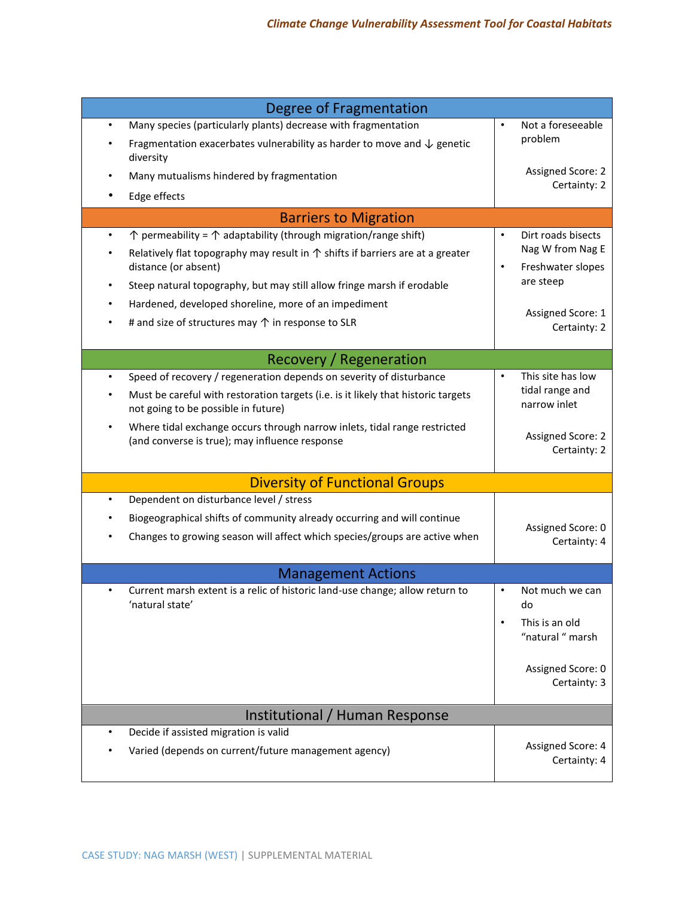| <b>Degree of Fragmentation</b>                                                                                                                                                                                                                                                                                                                                                                                    |                                                                                                                            |  |  |  |  |  |  |
|-------------------------------------------------------------------------------------------------------------------------------------------------------------------------------------------------------------------------------------------------------------------------------------------------------------------------------------------------------------------------------------------------------------------|----------------------------------------------------------------------------------------------------------------------------|--|--|--|--|--|--|
| Many species (particularly plants) decrease with fragmentation<br>Fragmentation exacerbates vulnerability as harder to move and $\downarrow$ genetic<br>diversity                                                                                                                                                                                                                                                 | Not a foreseeable<br>problem                                                                                               |  |  |  |  |  |  |
| Many mutualisms hindered by fragmentation<br>Edge effects                                                                                                                                                                                                                                                                                                                                                         | Assigned Score: 2<br>Certainty: 2                                                                                          |  |  |  |  |  |  |
| <b>Barriers to Migration</b>                                                                                                                                                                                                                                                                                                                                                                                      |                                                                                                                            |  |  |  |  |  |  |
| $\uparrow$ permeability = $\uparrow$ adaptability (through migration/range shift)<br>$\bullet$<br>Relatively flat topography may result in $\uparrow$ shifts if barriers are at a greater<br>distance (or absent)<br>Steep natural topography, but may still allow fringe marsh if erodable<br>Hardened, developed shoreline, more of an impediment<br># and size of structures may $\uparrow$ in response to SLR | Dirt roads bisects<br>$\bullet$<br>Nag W from Nag E<br>Freshwater slopes<br>are steep<br>Assigned Score: 1<br>Certainty: 2 |  |  |  |  |  |  |
| <b>Recovery / Regeneration</b>                                                                                                                                                                                                                                                                                                                                                                                    |                                                                                                                            |  |  |  |  |  |  |
| Speed of recovery / regeneration depends on severity of disturbance<br>$\bullet$<br>Must be careful with restoration targets (i.e. is it likely that historic targets<br>not going to be possible in future)<br>Where tidal exchange occurs through narrow inlets, tidal range restricted<br>$\bullet$<br>(and converse is true); may influence response                                                          | This site has low<br>tidal range and<br>narrow inlet<br>Assigned Score: 2<br>Certainty: 2                                  |  |  |  |  |  |  |
| <b>Diversity of Functional Groups</b>                                                                                                                                                                                                                                                                                                                                                                             |                                                                                                                            |  |  |  |  |  |  |
| Dependent on disturbance level / stress<br>$\bullet$<br>Biogeographical shifts of community already occurring and will continue<br>Changes to growing season will affect which species/groups are active when                                                                                                                                                                                                     | Assigned Score: 0<br>Certainty: 4                                                                                          |  |  |  |  |  |  |
| <b>Management Actions</b>                                                                                                                                                                                                                                                                                                                                                                                         |                                                                                                                            |  |  |  |  |  |  |
| Current marsh extent is a relic of historic land-use change; allow return to<br>$\bullet$<br>'natural state'                                                                                                                                                                                                                                                                                                      | Not much we can<br>$\bullet$<br>do<br>This is an old<br>$\bullet$<br>"natural " marsh<br>Assigned Score: 0<br>Certainty: 3 |  |  |  |  |  |  |
| Institutional / Human Response                                                                                                                                                                                                                                                                                                                                                                                    |                                                                                                                            |  |  |  |  |  |  |
| Decide if assisted migration is valid<br>$\bullet$<br>Varied (depends on current/future management agency)                                                                                                                                                                                                                                                                                                        | Assigned Score: 4<br>Certainty: 4                                                                                          |  |  |  |  |  |  |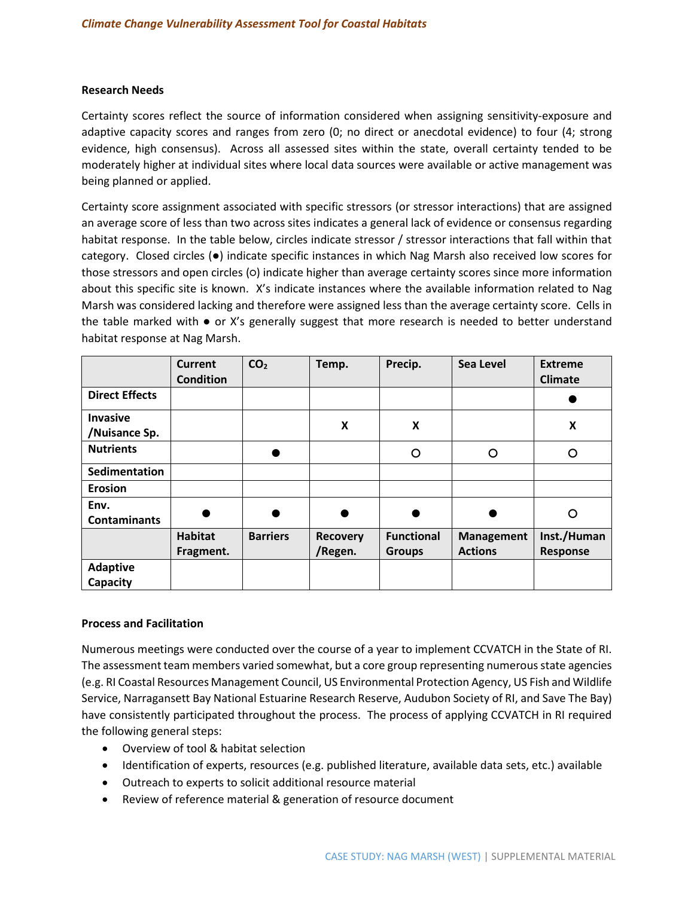#### **Research Needs**

Certainty scores reflect the source of information considered when assigning sensitivity-exposure and adaptive capacity scores and ranges from zero (0; no direct or anecdotal evidence) to four (4; strong evidence, high consensus). Across all assessed sites within the state, overall certainty tended to be moderately higher at individual sites where local data sources were available or active management was being planned or applied.

Certainty score assignment associated with specific stressors (or stressor interactions) that are assigned an average score of less than two across sites indicates a general lack of evidence or consensus regarding habitat response. In the table below, circles indicate stressor / stressor interactions that fall within that category. Closed circles (●) indicate specific instances in which Nag Marsh also received low scores for those stressors and open circles (○) indicate higher than average certainty scores since more information about this specific site is known. X's indicate instances where the available information related to Nag Marsh was considered lacking and therefore were assigned less than the average certainty score. Cells in the table marked with  $\bullet$  or X's generally suggest that more research is needed to better understand habitat response at Nag Marsh.

|                             | <b>Current</b><br><b>Condition</b> | CO <sub>2</sub> | Temp.                      | Precip.                            | <b>Sea Level</b>                    | <b>Extreme</b><br><b>Climate</b> |
|-----------------------------|------------------------------------|-----------------|----------------------------|------------------------------------|-------------------------------------|----------------------------------|
| <b>Direct Effects</b>       |                                    |                 |                            |                                    |                                     |                                  |
| Invasive<br>/Nuisance Sp.   |                                    |                 | X                          | X                                  |                                     | X                                |
| <b>Nutrients</b>            |                                    |                 |                            | O                                  | O                                   | O                                |
| Sedimentation               |                                    |                 |                            |                                    |                                     |                                  |
| <b>Erosion</b>              |                                    |                 |                            |                                    |                                     |                                  |
| Env.<br><b>Contaminants</b> |                                    |                 |                            |                                    |                                     | O                                |
|                             | <b>Habitat</b><br>Fragment.        | <b>Barriers</b> | <b>Recovery</b><br>/Regen. | <b>Functional</b><br><b>Groups</b> | <b>Management</b><br><b>Actions</b> | Inst./Human<br><b>Response</b>   |
| <b>Adaptive</b><br>Capacity |                                    |                 |                            |                                    |                                     |                                  |

#### **Process and Facilitation**

Numerous meetings were conducted over the course of a year to implement CCVATCH in the State of RI. The assessment team members varied somewhat, but a core group representing numerous state agencies (e.g. RI Coastal Resources Management Council, US Environmental Protection Agency, US Fish and Wildlife Service, Narragansett Bay National Estuarine Research Reserve, Audubon Society of RI, and Save The Bay) have consistently participated throughout the process. The process of applying CCVATCH in RI required the following general steps:

- Overview of tool & habitat selection
- Identification of experts, resources (e.g. published literature, available data sets, etc.) available
- Outreach to experts to solicit additional resource material
- Review of reference material & generation of resource document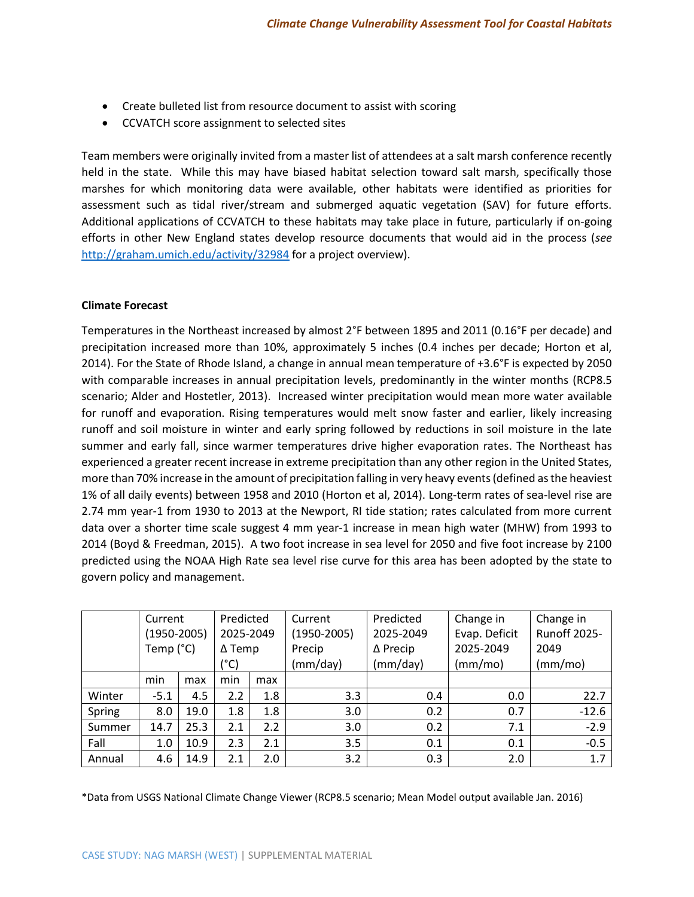- Create bulleted list from resource document to assist with scoring
- CCVATCH score assignment to selected sites

Team members were originally invited from a master list of attendees at a salt marsh conference recently held in the state. While this may have biased habitat selection toward salt marsh, specifically those marshes for which monitoring data were available, other habitats were identified as priorities for assessment such as tidal river/stream and submerged aquatic vegetation (SAV) for future efforts. Additional applications of CCVATCH to these habitats may take place in future, particularly if on-going efforts in other New England states develop resource documents that would aid in the process (*see* <http://graham.umich.edu/activity/32984> for a project overview).

## **Climate Forecast**

Temperatures in the Northeast increased by almost 2°F between 1895 and 2011 (0.16°F per decade) and precipitation increased more than 10%, approximately 5 inches (0.4 inches per decade; Horton et al, 2014). For the State of Rhode Island, a change in annual mean temperature of +3.6°F is expected by 2050 with comparable increases in annual precipitation levels, predominantly in the winter months (RCP8.5 scenario; Alder and Hostetler, 2013). Increased winter precipitation would mean more water available for runoff and evaporation. Rising temperatures would melt snow faster and earlier, likely increasing runoff and soil moisture in winter and early spring followed by reductions in soil moisture in the late summer and early fall, since warmer temperatures drive higher evaporation rates. The Northeast has experienced a greater recent increase in extreme precipitation than any other region in the United States, more than 70% increase in the amount of precipitation falling in very heavy events (defined as the heaviest 1% of all daily events) between 1958 and 2010 (Horton et al, 2014). Long-term rates of sea-level rise are 2.74 mm year-1 from 1930 to 2013 at the Newport, RI tide station; rates calculated from more current data over a shorter time scale suggest 4 mm year-1 increase in mean high water (MHW) from 1993 to 2014 (Boyd & Freedman, 2015). A two foot increase in sea level for 2050 and five foot increase by 2100 predicted using the NOAA High Rate sea level rise curve for this area has been adopted by the state to govern policy and management.

|        | Current         | Predicted |               | Current | Predicted       | Change in       | Change in     |                     |
|--------|-----------------|-----------|---------------|---------|-----------------|-----------------|---------------|---------------------|
|        | $(1950 - 2005)$ |           | 2025-2049     |         | $(1950 - 2005)$ | 2025-2049       | Evap. Deficit | <b>Runoff 2025-</b> |
|        | Temp (°C)       |           | $\Delta$ Temp |         | Precip          | $\Delta$ Precip | 2025-2049     | 2049                |
|        | (°C)            |           |               |         | (mm/day)        | (mm/day)        | (mm/mol)      | (mm/mol)            |
|        | min             | max       | min           | max     |                 |                 |               |                     |
| Winter | $-5.1$          | 4.5       | 2.2           | 1.8     | 3.3             | 0.4             | 0.0           | 22.7                |
| Spring | 8.0             | 19.0      | 1.8           | 1.8     | 3.0             | 0.2             | 0.7           | $-12.6$             |
| Summer | 14.7            | 25.3      | 2.1           | 2.2     | 3.0             | 0.2             | 7.1           | $-2.9$              |
| Fall   | 1.0             | 10.9      | 2.3           | 2.1     | 3.5             | 0.1             | 0.1           | $-0.5$              |
| Annual | 4.6             | 14.9      | 2.1           | 2.0     | 3.2             | 0.3             | 2.0           | 1.7                 |

\*Data from USGS National Climate Change Viewer (RCP8.5 scenario; Mean Model output available Jan. 2016)